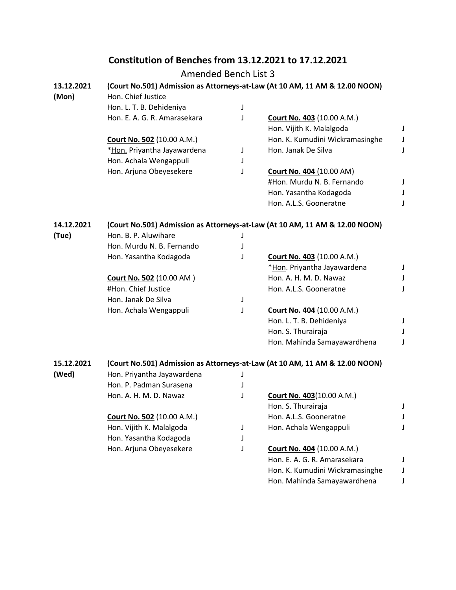## **Constitution of Benches from 13.12.2021 to 17.12.2021**

|            | Amended Bench List 3                                                        |   |                                                                             |   |  |  |
|------------|-----------------------------------------------------------------------------|---|-----------------------------------------------------------------------------|---|--|--|
| 13.12.2021 | (Court No.501) Admission as Attorneys-at-Law (At 10 AM, 11 AM & 12.00 NOON) |   |                                                                             |   |  |  |
| (Mon)      | Hon. Chief Justice                                                          |   |                                                                             |   |  |  |
|            | Hon. L. T. B. Dehideniya                                                    | J |                                                                             |   |  |  |
|            | Hon. E. A. G. R. Amarasekara                                                | J | Court No. 403 (10.00 A.M.)                                                  |   |  |  |
|            |                                                                             |   | Hon. Vijith K. Malalgoda                                                    | J |  |  |
|            | <b>Court No. 502 (10.00 A.M.)</b>                                           |   | Hon. K. Kumudini Wickramasinghe                                             | J |  |  |
|            | *Hon. Priyantha Jayawardena                                                 | J | Hon. Janak De Silva                                                         | J |  |  |
|            | Hon. Achala Wengappuli                                                      | J |                                                                             |   |  |  |
|            | Hon. Arjuna Obeyesekere                                                     | J | Court No. 404 (10.00 AM)                                                    |   |  |  |
|            |                                                                             |   | #Hon. Murdu N. B. Fernando                                                  | J |  |  |
|            |                                                                             |   | Hon. Yasantha Kodagoda                                                      | J |  |  |
|            |                                                                             |   | Hon. A.L.S. Gooneratne                                                      | J |  |  |
| 14.12.2021 | (Court No.501) Admission as Attorneys-at-Law (At 10 AM, 11 AM & 12.00 NOON) |   |                                                                             |   |  |  |
| (Tue)      | Hon. B. P. Aluwihare                                                        | J |                                                                             |   |  |  |
|            | Hon. Murdu N. B. Fernando                                                   | J |                                                                             |   |  |  |
|            | Hon. Yasantha Kodagoda                                                      | J | <b>Court No. 403 (10.00 A.M.)</b>                                           |   |  |  |
|            |                                                                             |   | *Hon. Priyantha Jayawardena                                                 | J |  |  |
|            | Court No. 502 (10.00 AM)                                                    |   | Hon. A. H. M. D. Nawaz                                                      | J |  |  |
|            | #Hon. Chief Justice                                                         |   | Hon. A.L.S. Gooneratne                                                      | J |  |  |
|            | Hon. Janak De Silva                                                         | J |                                                                             |   |  |  |
|            | Hon. Achala Wengappuli                                                      | J | <b>Court No. 404 (10.00 A.M.)</b>                                           |   |  |  |
|            |                                                                             |   | Hon. L. T. B. Dehideniya                                                    | J |  |  |
|            |                                                                             |   | Hon. S. Thurairaja                                                          |   |  |  |
|            |                                                                             |   | Hon. Mahinda Samayawardhena                                                 | J |  |  |
| 15.12.2021 |                                                                             |   | (Court No.501) Admission as Attorneys-at-Law (At 10 AM, 11 AM & 12.00 NOON) |   |  |  |
| (Wed)      | Hon. Priyantha Jayawardena                                                  | J |                                                                             |   |  |  |
|            | Hon. P. Padman Surasena                                                     |   |                                                                             |   |  |  |
|            | Hon. A. H. M. D. Nawaz                                                      |   | <b>Court No. 403 (10.00 A.M.)</b>                                           |   |  |  |
|            |                                                                             |   | Hon. S. Thurairaja                                                          | J |  |  |
|            | <b>Court No. 502 (10.00 A.M.)</b>                                           |   | Hon. A.L.S. Gooneratne                                                      |   |  |  |
|            | Hon. Vijith K. Malalgoda                                                    | J | Hon. Achala Wengappuli                                                      |   |  |  |
|            | Hon. Yasantha Kodagoda                                                      | J |                                                                             |   |  |  |
|            | Hon. Arjuna Obeyesekere                                                     | J | <b>Court No. 404 (10.00 A.M.)</b>                                           |   |  |  |
|            |                                                                             |   | Hon. E. A. G. R. Amarasekara                                                | J |  |  |
|            |                                                                             |   | Hon. K. Kumudini Wickramasinghe                                             | J |  |  |
|            |                                                                             |   | Hon. Mahinda Samayawardhena                                                 |   |  |  |